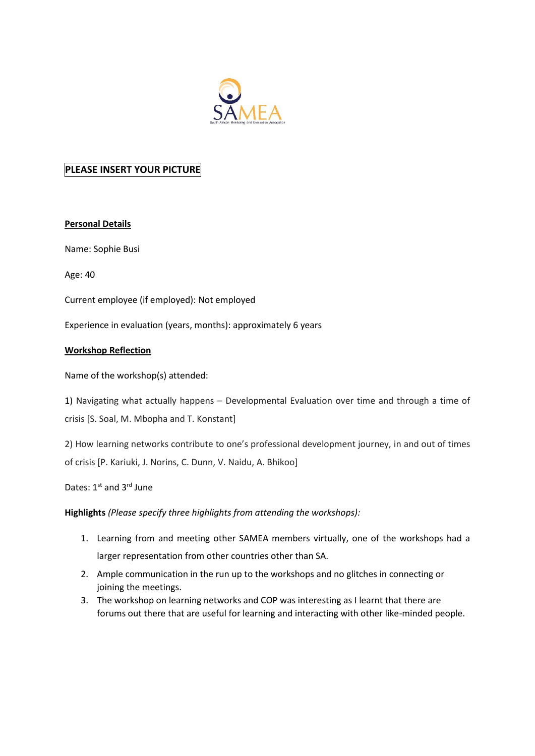

# **PLEASE INSERT YOUR PICTURE**

### **Personal Details**

Name: Sophie Busi

Age: 40

Current employee (if employed): Not employed

Experience in evaluation (years, months): approximately 6 years

### **Workshop Reflection**

Name of the workshop(s) attended:

1) Navigating what actually happens – Developmental Evaluation over time and through a time of crisis [S. Soal, M. Mbopha and T. Konstant]

2) How learning networks contribute to one's professional development journey, in and out of times of crisis [P. Kariuki, J. Norins, C. Dunn, V. Naidu, A. Bhikoo]

Dates: 1st and 3rd June

### **Highlights** *(Please specify three highlights from attending the workshops):*

- 1. Learning from and meeting other SAMEA members virtually, one of the workshops had a larger representation from other countries other than SA.
- 2. Ample communication in the run up to the workshops and no glitches in connecting or joining the meetings.
- 3. The workshop on learning networks and COP was interesting as I learnt that there are forums out there that are useful for learning and interacting with other like-minded people.